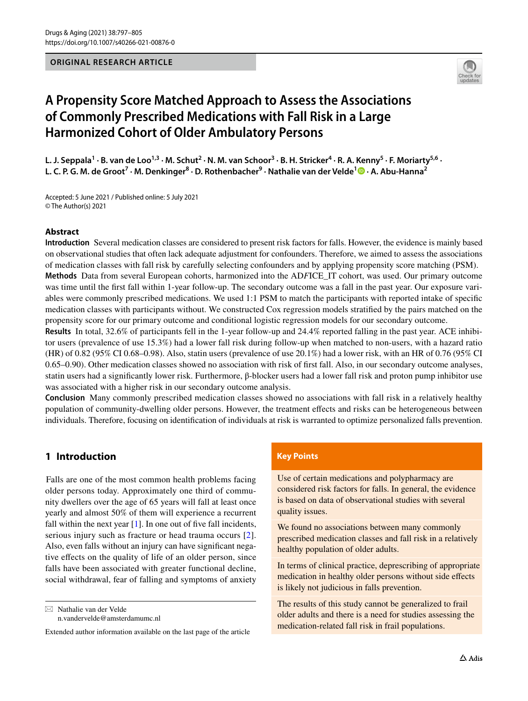#### **ORIGINAL RESEARCH ARTICLE**



# **A Propensity Score Matched Approach to Assess the Associations of Commonly Prescribed Medications with Fall Risk in a Large Harmonized Cohort of Older Ambulatory Persons**

L. J. Seppala<sup>1</sup> · B. van de Loo<sup>1,3</sup> · M. Schut<sup>2</sup> · N. M. van Schoor<sup>3</sup> · B. H. Stricker<sup>4</sup> · R. A. Kenny<sup>5</sup> · F. Moriarty<sup>5,6</sup> · **L. C. P. G. M. de Groot7 · M. Denkinger8 · D. Rothenbacher9 · Nathalie van der Velde1  [·](http://orcid.org/0000-0002-6477-6209) A. Abu‑Hanna2**

Accepted: 5 June 2021 / Published online: 5 July 2021 © The Author(s) 2021

### **Abstract**

**Introduction** Several medication classes are considered to present risk factors for falls. However, the evidence is mainly based on observational studies that often lack adequate adjustment for confounders. Therefore, we aimed to assess the associations of medication classes with fall risk by carefully selecting confounders and by applying propensity score matching (PSM).

**Methods** Data from several European cohorts, harmonized into the AD*F*ICE\_IT cohort, was used. Our primary outcome was time until the frst fall within 1-year follow-up. The secondary outcome was a fall in the past year. Our exposure variables were commonly prescribed medications. We used 1:1 PSM to match the participants with reported intake of specifc medication classes with participants without. We constructed Cox regression models stratifed by the pairs matched on the propensity score for our primary outcome and conditional logistic regression models for our secondary outcome.

**Results** In total, 32.6% of participants fell in the 1-year follow-up and 24.4% reported falling in the past year. ACE inhibitor users (prevalence of use 15.3%) had a lower fall risk during follow-up when matched to non-users, with a hazard ratio (HR) of 0.82 (95% CI 0.68–0.98). Also, statin users (prevalence of use 20.1%) had a lower risk, with an HR of 0.76 (95% CI 0.65–0.90). Other medication classes showed no association with risk of frst fall. Also, in our secondary outcome analyses, statin users had a signifcantly lower risk. Furthermore, β-blocker users had a lower fall risk and proton pump inhibitor use was associated with a higher risk in our secondary outcome analysis.

**Conclusion** Many commonly prescribed medication classes showed no associations with fall risk in a relatively healthy population of community-dwelling older persons. However, the treatment efects and risks can be heterogeneous between individuals. Therefore, focusing on identifcation of individuals at risk is warranted to optimize personalized falls prevention.

# **1 Introduction**

Falls are one of the most common health problems facing older persons today. Approximately one third of community dwellers over the age of 65 years will fall at least once yearly and almost 50% of them will experience a recurrent fall within the next year  $[1]$  $[1]$ . In one out of five fall incidents, serious injury such as fracture or head trauma occurs [[2](#page-7-1)]. Also, even falls without an injury can have signifcant negative efects on the quality of life of an older person, since falls have been associated with greater functional decline, social withdrawal, fear of falling and symptoms of anxiety

 $\boxtimes$  Nathalie van der Velde n.vandervelde@amsterdamumc.nl

#### **Key Points**

Use of certain medications and polypharmacy are considered risk factors for falls. In general, the evidence is based on data of observational studies with several quality issues.

We found no associations between many commonly prescribed medication classes and fall risk in a relatively healthy population of older adults.

In terms of clinical practice, deprescribing of appropriate medication in healthy older persons without side efects is likely not judicious in falls prevention.

The results of this study cannot be generalized to frail older adults and there is a need for studies assessing the medication-related fall risk in frail populations.

Extended author information available on the last page of the article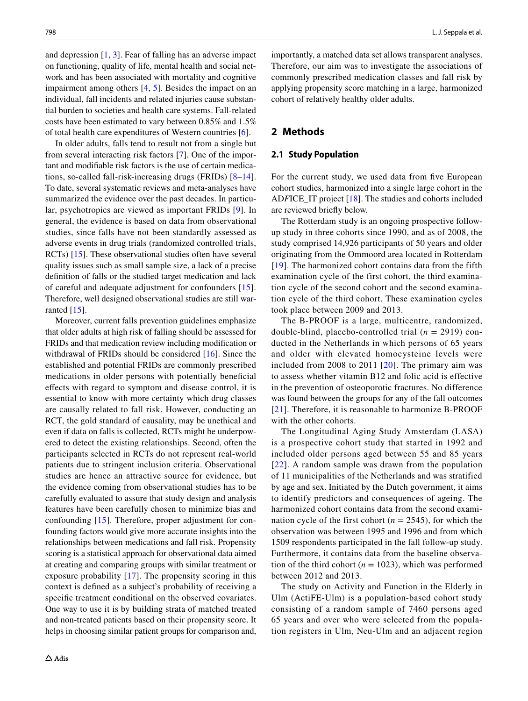and depression [\[1](#page-7-0), [3](#page-7-2)]. Fear of falling has an adverse impact on functioning, quality of life, mental health and social network and has been associated with mortality and cognitive impairment among others [\[4](#page-7-3), [5\]](#page-7-4). Besides the impact on an individual, fall incidents and related injuries cause substantial burden to societies and health care systems. Fall-related costs have been estimated to vary between 0.85% and 1.5% of total health care expenditures of Western countries [\[6](#page-7-5)].

In older adults, falls tend to result not from a single but from several interacting risk factors [\[7](#page-7-6)]. One of the important and modifable risk factors is the use of certain medications, so-called fall-risk-increasing drugs (FRIDs) [[8–](#page-7-7)[14](#page-7-8)]. To date, several systematic reviews and meta-analyses have summarized the evidence over the past decades. In particular, psychotropics are viewed as important FRIDs [\[9](#page-7-9)]. In general, the evidence is based on data from observational studies, since falls have not been standardly assessed as adverse events in drug trials (randomized controlled trials, RCTs) [\[15](#page-7-10)]. These observational studies often have several quality issues such as small sample size, a lack of a precise defnition of falls or the studied target medication and lack of careful and adequate adjustment for confounders [[15\]](#page-7-10). Therefore, well designed observational studies are still warranted  $[15]$  $[15]$ .

Moreover, current falls prevention guidelines emphasize that older adults at high risk of falling should be assessed for FRIDs and that medication review including modifcation or withdrawal of FRIDs should be considered [\[16\]](#page-7-11). Since the established and potential FRIDs are commonly prescribed medications in older persons with potentially benefcial efects with regard to symptom and disease control, it is essential to know with more certainty which drug classes are causally related to fall risk. However, conducting an RCT, the gold standard of causality, may be unethical and even if data on falls is collected, RCTs might be underpowered to detect the existing relationships. Second, often the participants selected in RCTs do not represent real-world patients due to stringent inclusion criteria. Observational studies are hence an attractive source for evidence, but the evidence coming from observational studies has to be carefully evaluated to assure that study design and analysis features have been carefully chosen to minimize bias and confounding [[15](#page-7-10)]. Therefore, proper adjustment for confounding factors would give more accurate insights into the relationships between medications and fall risk. Propensity scoring is a statistical approach for observational data aimed at creating and comparing groups with similar treatment or exposure probability [\[17\]](#page-7-12). The propensity scoring in this context is defned as a subject's probability of receiving a specifc treatment conditional on the observed covariates. One way to use it is by building strata of matched treated and non-treated patients based on their propensity score. It helps in choosing similar patient groups for comparison and, importantly, a matched data set allows transparent analyses. Therefore, our aim was to investigate the associations of commonly prescribed medication classes and fall risk by applying propensity score matching in a large, harmonized cohort of relatively healthy older adults.

#### **2 Methods**

#### **2.1 Study Population**

For the current study, we used data from five European cohort studies, harmonized into a single large cohort in the AD*F*ICE\_IT project [[18\]](#page-7-13). The studies and cohorts included are reviewed briefy below.

The Rotterdam study is an ongoing prospective followup study in three cohorts since 1990, and as of 2008, the study comprised 14,926 participants of 50 years and older originating from the Ommoord area located in Rotterdam [[19](#page-7-14)]. The harmonized cohort contains data from the fifth examination cycle of the first cohort, the third examination cycle of the second cohort and the second examination cycle of the third cohort. These examination cycles took place between 2009 and 2013.

The B-PROOF is a large, multicentre, randomized, double-blind, placebo-controlled trial (*n* = 2919) conducted in the Netherlands in which persons of 65 years and older with elevated homocysteine levels were included from 2008 to 2011 [[20](#page-7-15)]. The primary aim was to assess whether vitamin B12 and folic acid is effective in the prevention of osteoporotic fractures. No difference was found between the groups for any of the fall outcomes [[21](#page-7-16)]. Therefore, it is reasonable to harmonize B-PROOF with the other cohorts.

The Longitudinal Aging Study Amsterdam (LASA) is a prospective cohort study that started in 1992 and included older persons aged between 55 and 85 years [[22](#page-7-17)]. A random sample was drawn from the population of 11 municipalities of the Netherlands and was stratified by age and sex. Initiated by the Dutch government, it aims to identify predictors and consequences of ageing. The harmonized cohort contains data from the second examination cycle of the first cohort ( $n = 2545$ ), for which the observation was between 1995 and 1996 and from which 1509 respondents participated in the fall follow-up study. Furthermore, it contains data from the baseline observation of the third cohort ( $n = 1023$ ), which was performed between 2012 and 2013.

The study on Activity and Function in the Elderly in Ulm (ActiFE-Ulm) is a population-based cohort study consisting of a random sample of 7460 persons aged 65 years and over who were selected from the population registers in Ulm, Neu-Ulm and an adjacent region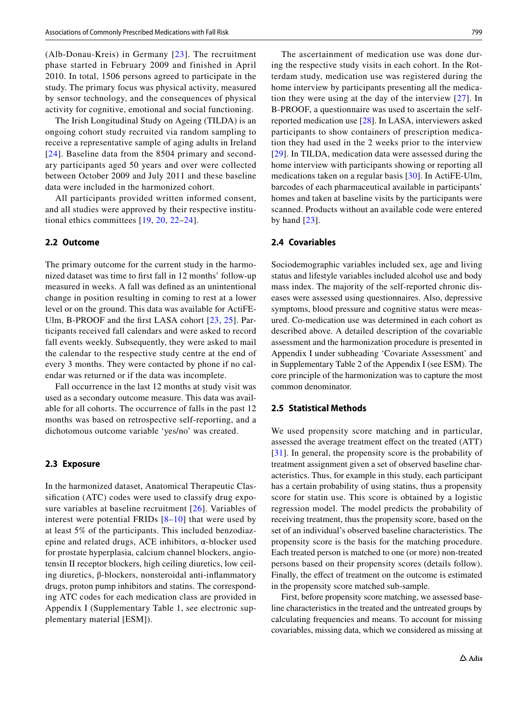(Alb-Donau-Kreis) in Germany [[23](#page-7-18)]. The recruitment phase started in February 2009 and finished in April 2010. In total, 1506 persons agreed to participate in the study. The primary focus was physical activity, measured by sensor technology, and the consequences of physical activity for cognitive, emotional and social functioning.

The Irish Longitudinal Study on Ageing (TILDA) is an ongoing cohort study recruited via random sampling to receive a representative sample of aging adults in Ireland [[24](#page-7-19)]. Baseline data from the 8504 primary and secondary participants aged 50 years and over were collected between October 2009 and July 2011 and these baseline data were included in the harmonized cohort.

All participants provided written informed consent, and all studies were approved by their respective institutional ethics committees [[19,](#page-7-14) [20,](#page-7-15) [22](#page-7-17)–[24](#page-7-19)].

#### **2.2 Outcome**

The primary outcome for the current study in the harmonized dataset was time to frst fall in 12 months' follow-up measured in weeks. A fall was defned as an unintentional change in position resulting in coming to rest at a lower level or on the ground. This data was available for ActiFE-Ulm, B-PROOF and the frst LASA cohort [[23](#page-7-18), [25](#page-7-20)]. Participants received fall calendars and were asked to record fall events weekly. Subsequently, they were asked to mail the calendar to the respective study centre at the end of every 3 months. They were contacted by phone if no calendar was returned or if the data was incomplete.

Fall occurrence in the last 12 months at study visit was used as a secondary outcome measure. This data was available for all cohorts. The occurrence of falls in the past 12 months was based on retrospective self-reporting, and a dichotomous outcome variable 'yes/no' was created.

#### **2.3 Exposure**

In the harmonized dataset, Anatomical Therapeutic Classifcation (ATC) codes were used to classify drug exposure variables at baseline recruitment  $[26]$  $[26]$  $[26]$ . Variables of interest were potential FRIDs  $[8-10]$  $[8-10]$  $[8-10]$  that were used by at least 5% of the participants. This included benzodiazepine and related drugs, ACE inhibitors, α-blocker used for prostate hyperplasia, calcium channel blockers, angiotensin II receptor blockers, high ceiling diuretics, low ceiling diuretics, β-blockers, nonsteroidal anti-infammatory drugs, proton pump inhibitors and statins. The corresponding ATC codes for each medication class are provided in Appendix I (Supplementary Table 1, see electronic supplementary material [ESM]).

The ascertainment of medication use was done during the respective study visits in each cohort. In the Rotterdam study, medication use was registered during the home interview by participants presenting all the medication they were using at the day of the interview [[27](#page-7-23)]. In B-PROOF, a questionnaire was used to ascertain the selfreported medication use [[28](#page-7-24)]. In LASA, interviewers asked participants to show containers of prescription medication they had used in the 2 weeks prior to the interview [[29\]](#page-7-25). In TILDA, medication data were assessed during the home interview with participants showing or reporting all medications taken on a regular basis [[30\]](#page-7-26). In ActiFE-Ulm, barcodes of each pharmaceutical available in participants' homes and taken at baseline visits by the participants were scanned. Products without an available code were entered by hand  $[23]$  $[23]$ .

## **2.4 Covariables**

Sociodemographic variables included sex, age and living status and lifestyle variables included alcohol use and body mass index. The majority of the self-reported chronic diseases were assessed using questionnaires. Also, depressive symptoms, blood pressure and cognitive status were measured. Co-medication use was determined in each cohort as described above. A detailed description of the covariable assessment and the harmonization procedure is presented in Appendix I under subheading 'Covariate Assessment' and in Supplementary Table 2 of the Appendix I (see ESM). The core principle of the harmonization was to capture the most common denominator.

#### **2.5 Statistical Methods**

We used propensity score matching and in particular, assessed the average treatment efect on the treated (ATT) [[31\]](#page-7-27). In general, the propensity score is the probability of treatment assignment given a set of observed baseline characteristics. Thus, for example in this study, each participant has a certain probability of using statins, thus a propensity score for statin use. This score is obtained by a logistic regression model. The model predicts the probability of receiving treatment, thus the propensity score, based on the set of an individual's observed baseline characteristics. The propensity score is the basis for the matching procedure. Each treated person is matched to one (or more) non-treated persons based on their propensity scores (details follow). Finally, the effect of treatment on the outcome is estimated in the propensity score matched sub-sample.

First, before propensity score matching, we assessed baseline characteristics in the treated and the untreated groups by calculating frequencies and means. To account for missing covariables, missing data, which we considered as missing at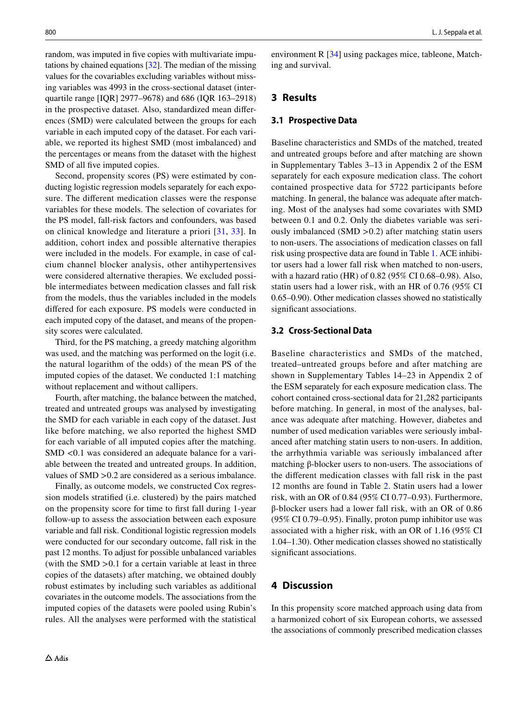random, was imputed in fve copies with multivariate imputations by chained equations [\[32](#page-7-28)]. The median of the missing values for the covariables excluding variables without missing variables was 4993 in the cross-sectional dataset (interquartile range [IQR] 2977–9678) and 686 (IQR 163–2918) in the prospective dataset. Also, standardized mean diferences (SMD) were calculated between the groups for each variable in each imputed copy of the dataset. For each variable, we reported its highest SMD (most imbalanced) and the percentages or means from the dataset with the highest SMD of all five imputed copies.

Second, propensity scores (PS) were estimated by conducting logistic regression models separately for each exposure. The diferent medication classes were the response variables for these models. The selection of covariates for the PS model, fall-risk factors and confounders, was based on clinical knowledge and literature a priori [[31,](#page-7-27) [33](#page-7-29)]. In addition, cohort index and possible alternative therapies were included in the models. For example, in case of calcium channel blocker analysis, other antihypertensives were considered alternative therapies. We excluded possible intermediates between medication classes and fall risk from the models, thus the variables included in the models difered for each exposure. PS models were conducted in each imputed copy of the dataset, and means of the propensity scores were calculated.

Third, for the PS matching, a greedy matching algorithm was used, and the matching was performed on the logit (i.e. the natural logarithm of the odds) of the mean PS of the imputed copies of the dataset. We conducted 1:1 matching without replacement and without callipers.

Fourth, after matching, the balance between the matched, treated and untreated groups was analysed by investigating the SMD for each variable in each copy of the dataset. Just like before matching, we also reported the highest SMD for each variable of all imputed copies after the matching. SMD <0.1 was considered an adequate balance for a variable between the treated and untreated groups. In addition, values of SMD >0.2 are considered as a serious imbalance.

Finally, as outcome models, we constructed Cox regression models stratifed (i.e. clustered) by the pairs matched on the propensity score for time to frst fall during 1-year follow-up to assess the association between each exposure variable and fall risk. Conditional logistic regression models were conducted for our secondary outcome, fall risk in the past 12 months. To adjust for possible unbalanced variables (with the SMD  $>0.1$  for a certain variable at least in three copies of the datasets) after matching, we obtained doubly robust estimates by including such variables as additional covariates in the outcome models. The associations from the imputed copies of the datasets were pooled using Rubin's rules. All the analyses were performed with the statistical environment R [[34\]](#page-7-30) using packages mice, tableone, Matching and survival.

## **3 Results**

## **3.1 Prospective Data**

Baseline characteristics and SMDs of the matched, treated and untreated groups before and after matching are shown in Supplementary Tables 3–13 in Appendix 2 of the ESM separately for each exposure medication class. The cohort contained prospective data for 5722 participants before matching. In general, the balance was adequate after matching. Most of the analyses had some covariates with SMD between 0.1 and 0.2. Only the diabetes variable was seriously imbalanced (SMD >0.2) after matching statin users to non-users. The associations of medication classes on fall risk using prospective data are found in Table [1](#page-4-0). ACE inhibitor users had a lower fall risk when matched to non-users, with a hazard ratio (HR) of 0.82 (95% CI 0.68–0.98). Also, statin users had a lower risk, with an HR of 0.76 (95% CI 0.65–0.90). Other medication classes showed no statistically signifcant associations.

#### **3.2 Cross‑Sectional Data**

Baseline characteristics and SMDs of the matched, treated–untreated groups before and after matching are shown in Supplementary Tables 14–23 in Appendix 2 of the ESM separately for each exposure medication class. The cohort contained cross-sectional data for 21,282 participants before matching. In general, in most of the analyses, balance was adequate after matching. However, diabetes and number of used medication variables were seriously imbalanced after matching statin users to non-users. In addition, the arrhythmia variable was seriously imbalanced after matching β-blocker users to non-users. The associations of the diferent medication classes with fall risk in the past 12 months are found in Table [2](#page-4-1). Statin users had a lower risk, with an OR of 0.84 (95% CI 0.77–0.93). Furthermore, β-blocker users had a lower fall risk, with an OR of 0.86 (95% CI 0.79–0.95). Finally, proton pump inhibitor use was associated with a higher risk, with an OR of 1.16 (95% CI 1.04–1.30). Other medication classes showed no statistically signifcant associations.

# **4 Discussion**

In this propensity score matched approach using data from a harmonized cohort of six European cohorts, we assessed the associations of commonly prescribed medication classes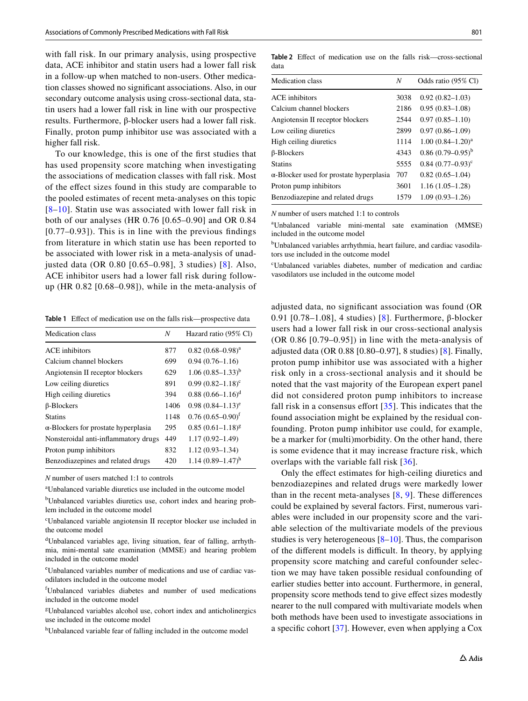with fall risk. In our primary analysis, using prospective data, ACE inhibitor and statin users had a lower fall risk in a follow-up when matched to non-users. Other medication classes showed no signifcant associations. Also, in our secondary outcome analysis using cross-sectional data, statin users had a lower fall risk in line with our prospective results. Furthermore, β-blocker users had a lower fall risk. Finally, proton pump inhibitor use was associated with a higher fall risk.

To our knowledge, this is one of the frst studies that has used propensity score matching when investigating the associations of medication classes with fall risk. Most of the efect sizes found in this study are comparable to the pooled estimates of recent meta-analyses on this topic  $[8-10]$  $[8-10]$ . Statin use was associated with lower fall risk in both of our analyses (HR 0.76 [0.65–0.90] and OR 0.84 [0.77–0.93]). This is in line with the previous fndings from literature in which statin use has been reported to be associated with lower risk in a meta-analysis of unadjusted data (OR 0.80 [0.65–0.98], 3 studies) [\[8\]](#page-7-7). Also, ACE inhibitor users had a lower fall risk during followup (HR 0.82 [0.68–0.98]), while in the meta-analysis of

<span id="page-4-0"></span>Table 1 Effect of medication use on the falls risk—prospective data

| Medication class                            | N    | Hazard ratio (95% Cl)               |
|---------------------------------------------|------|-------------------------------------|
| <b>ACE</b> inhibitors                       | 877  | $0.82(0.68 - 0.98)^a$               |
| Calcium channel blockers                    | 699  | $0.94(0.76 - 1.16)$                 |
| Angiotensin II receptor blockers            | 629  | $1.06(0.85-1.33)^{b}$               |
| Low ceiling diuretics                       | 891  | $0.99(0.82 - 1.18)^c$               |
| High ceiling diuretics                      | 394  | $0.88(0.66-1.16)^d$                 |
| $\beta$ -Blockers                           | 1406 | $0.98(0.84 - 1.13)^e$               |
| <b>Statins</b>                              | 1148 | $0.76$ $(0.65 - 0.90)$ <sup>f</sup> |
| $\alpha$ -Blockers for prostate hyperplasia | 295  | $0.85(0.61 - 1.18)^g$               |
| Nonsteroidal anti-inflammatory drugs        | 449  | $1.17(0.92 - 1.49)$                 |
| Proton pump inhibitors                      | 832  | $1.12(0.93 - 1.34)$                 |
| Benzodiazepines and related drugs           | 420  | $1.14(0.89 - 1.47)^h$               |

*N* number of users matched 1:1 to controls

a Unbalanced variable diuretics use included in the outcome model

<sup>b</sup>Unbalanced variables diuretics use, cohort index and hearing problem included in the outcome model

c Unbalanced variable angiotensin II receptor blocker use included in the outcome model

d Unbalanced variables age, living situation, fear of falling, arrhythmia, mini-mental sate examination (MMSE) and hearing problem included in the outcome model

e Unbalanced variables number of medications and use of cardiac vasodilators included in the outcome model

f Unbalanced variables diabetes and number of used medications included in the outcome model

g Unbalanced variables alcohol use, cohort index and anticholinergics use included in the outcome model

<sup>h</sup>Unbalanced variable fear of falling included in the outcome model

<span id="page-4-1"></span>**Table 2** Efect of medication use on the falls risk—cross-sectional data

| Medication class                                | N    | Odds ratio (95% Cl)    |
|-------------------------------------------------|------|------------------------|
| <b>ACE</b> inhibitors                           | 3038 | $0.92(0.82 - 1.03)$    |
| Calcium channel blockers                        | 2186 | $0.95(0.83 - 1.08)$    |
| Angiotensin II receptor blockers                | 2544 | $0.97(0.85 - 1.10)$    |
| Low ceiling diuretics                           | 2899 | $0.97(0.86 - 1.09)$    |
| High ceiling diuretics                          | 1114 | $1.00 (0.84 - 1.20)^a$ |
| β-Blockers                                      | 4343 | $0.86(0.79-0.95)^{b}$  |
| <b>Statins</b>                                  | 5555 | $0.84$ $(0.77-0.93)^c$ |
| $\alpha$ -Blocker used for prostate hyperplasia | 707  | $0.82(0.65-1.04)$      |
| Proton pump inhibitors                          | 3601 | $1.16(1.05-1.28)$      |
| Benzodiazepine and related drugs                | 1579 | $1.09(0.93 - 1.26)$    |

*N* number of users matched 1:1 to controls

a Unbalanced variable mini-mental sate examination (MMSE) included in the outcome model

b Unbalanced variables arrhythmia, heart failure, and cardiac vasodilators use included in the outcome model

c Unbalanced variables diabetes, number of medication and cardiac vasodilators use included in the outcome model

adjusted data, no signifcant association was found (OR 0.91 [0.78–1.08], 4 studies) [[8\]](#page-7-7). Furthermore, β-blocker users had a lower fall risk in our cross-sectional analysis (OR 0.86 [0.79–0.95]) in line with the meta-analysis of adjusted data (OR 0.88 [0.80–0.97], 8 studies) [[8](#page-7-7)]. Finally, proton pump inhibitor use was associated with a higher risk only in a cross-sectional analysis and it should be noted that the vast majority of the European expert panel did not considered proton pump inhibitors to increase fall risk in a consensus effort  $[35]$  $[35]$  $[35]$ . This indicates that the found association might be explained by the residual confounding. Proton pump inhibitor use could, for example, be a marker for (multi)morbidity. On the other hand, there is some evidence that it may increase fracture risk, which overlaps with the variable fall risk [[36](#page-8-0)].

Only the efect estimates for high-ceiling diuretics and benzodiazepines and related drugs were markedly lower than in the recent meta-analyses  $[8, 9]$  $[8, 9]$  $[8, 9]$  $[8, 9]$ . These differences could be explained by several factors. First, numerous variables were included in our propensity score and the variable selection of the multivariate models of the previous studies is very heterogeneous [\[8](#page-7-7)[–10](#page-7-22)]. Thus, the comparison of the different models is difficult. In theory, by applying propensity score matching and careful confounder selection we may have taken possible residual confounding of earlier studies better into account. Furthermore, in general, propensity score methods tend to give efect sizes modestly nearer to the null compared with multivariate models when both methods have been used to investigate associations in a specifc cohort [\[37](#page-8-1)]. However, even when applying a Cox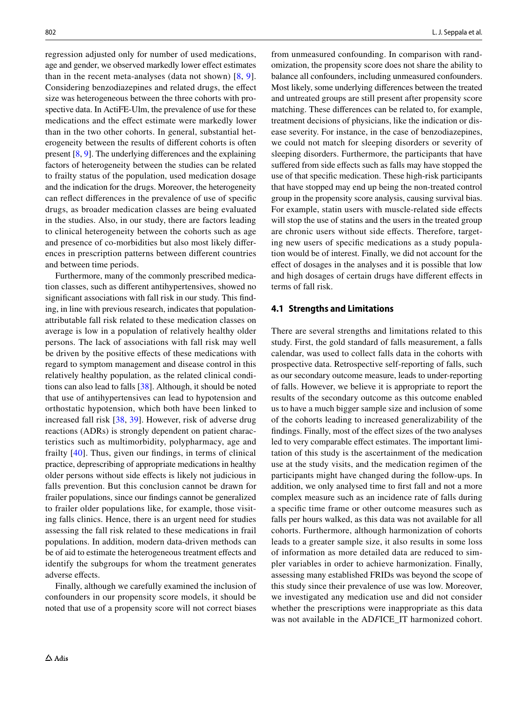regression adjusted only for number of used medications, age and gender, we observed markedly lower effect estimates than in the recent meta-analyses (data not shown) [[8](#page-7-7), [9](#page-7-9)]. Considering benzodiazepines and related drugs, the efect size was heterogeneous between the three cohorts with prospective data. In ActiFE-Ulm, the prevalence of use for these medications and the efect estimate were markedly lower than in the two other cohorts. In general, substantial heterogeneity between the results of diferent cohorts is often present [\[8](#page-7-7), [9\]](#page-7-9). The underlying diferences and the explaining factors of heterogeneity between the studies can be related to frailty status of the population, used medication dosage and the indication for the drugs. Moreover, the heterogeneity can refect diferences in the prevalence of use of specifc drugs, as broader medication classes are being evaluated in the studies. Also, in our study, there are factors leading to clinical heterogeneity between the cohorts such as age and presence of co-morbidities but also most likely diferences in prescription patterns between diferent countries and between time periods.

Furthermore, many of the commonly prescribed medication classes, such as diferent antihypertensives, showed no signifcant associations with fall risk in our study. This fnding, in line with previous research, indicates that populationattributable fall risk related to these medication classes on average is low in a population of relatively healthy older persons. The lack of associations with fall risk may well be driven by the positive efects of these medications with regard to symptom management and disease control in this relatively healthy population, as the related clinical conditions can also lead to falls [\[38](#page-8-2)]. Although, it should be noted that use of antihypertensives can lead to hypotension and orthostatic hypotension, which both have been linked to increased fall risk [[38,](#page-8-2) [39](#page-8-3)]. However, risk of adverse drug reactions (ADRs) is strongly dependent on patient characteristics such as multimorbidity, polypharmacy, age and frailty [[40](#page-8-4)]. Thus, given our fndings, in terms of clinical practice, deprescribing of appropriate medications in healthy older persons without side efects is likely not judicious in falls prevention. But this conclusion cannot be drawn for frailer populations, since our fndings cannot be generalized to frailer older populations like, for example, those visiting falls clinics. Hence, there is an urgent need for studies assessing the fall risk related to these medications in frail populations. In addition, modern data-driven methods can be of aid to estimate the heterogeneous treatment effects and identify the subgroups for whom the treatment generates adverse effects.

Finally, although we carefully examined the inclusion of confounders in our propensity score models, it should be noted that use of a propensity score will not correct biases from unmeasured confounding. In comparison with randomization, the propensity score does not share the ability to balance all confounders, including unmeasured confounders. Most likely, some underlying diferences between the treated and untreated groups are still present after propensity score matching. These diferences can be related to, for example, treatment decisions of physicians, like the indication or disease severity. For instance, in the case of benzodiazepines, we could not match for sleeping disorders or severity of sleeping disorders. Furthermore, the participants that have suffered from side effects such as falls may have stopped the use of that specifc medication. These high-risk participants that have stopped may end up being the non-treated control group in the propensity score analysis, causing survival bias. For example, statin users with muscle-related side efects will stop the use of statins and the users in the treated group are chronic users without side efects. Therefore, targeting new users of specifc medications as a study population would be of interest. Finally, we did not account for the efect of dosages in the analyses and it is possible that low and high dosages of certain drugs have diferent efects in terms of fall risk.

## **4.1 Strengths and Limitations**

There are several strengths and limitations related to this study. First, the gold standard of falls measurement, a falls calendar, was used to collect falls data in the cohorts with prospective data. Retrospective self-reporting of falls, such as our secondary outcome measure, leads to under-reporting of falls. However, we believe it is appropriate to report the results of the secondary outcome as this outcome enabled us to have a much bigger sample size and inclusion of some of the cohorts leading to increased generalizability of the fndings. Finally, most of the efect sizes of the two analyses led to very comparable effect estimates. The important limitation of this study is the ascertainment of the medication use at the study visits, and the medication regimen of the participants might have changed during the follow-ups. In addition, we only analysed time to frst fall and not a more complex measure such as an incidence rate of falls during a specifc time frame or other outcome measures such as falls per hours walked, as this data was not available for all cohorts. Furthermore, although harmonization of cohorts leads to a greater sample size, it also results in some loss of information as more detailed data are reduced to simpler variables in order to achieve harmonization. Finally, assessing many established FRIDs was beyond the scope of this study since their prevalence of use was low. Moreover, we investigated any medication use and did not consider whether the prescriptions were inappropriate as this data was not available in the AD*F*ICE\_IT harmonized cohort.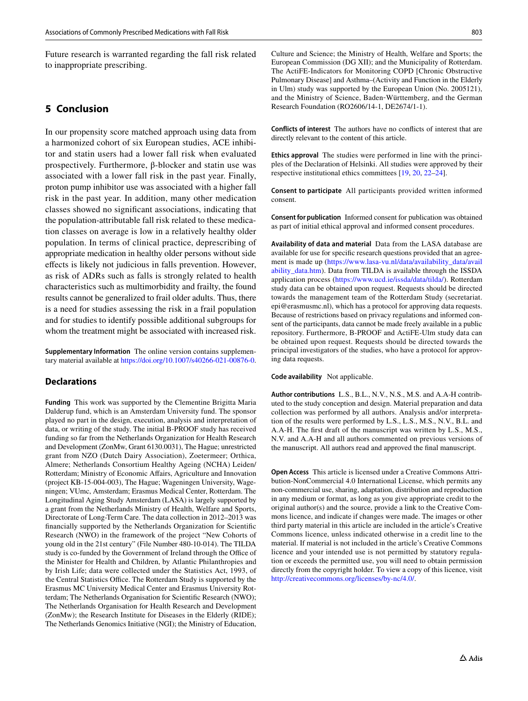Future research is warranted regarding the fall risk related to inappropriate prescribing.

# **5 Conclusion**

In our propensity score matched approach using data from a harmonized cohort of six European studies, ACE inhibitor and statin users had a lower fall risk when evaluated prospectively. Furthermore, β-blocker and statin use was associated with a lower fall risk in the past year. Finally, proton pump inhibitor use was associated with a higher fall risk in the past year. In addition, many other medication classes showed no signifcant associations, indicating that the population-attributable fall risk related to these medication classes on average is low in a relatively healthy older population. In terms of clinical practice, deprescribing of appropriate medication in healthy older persons without side efects is likely not judicious in falls prevention. However, as risk of ADRs such as falls is strongly related to health characteristics such as multimorbidity and frailty, the found results cannot be generalized to frail older adults. Thus, there is a need for studies assessing the risk in a frail population and for studies to identify possible additional subgroups for whom the treatment might be associated with increased risk.

**Supplementary Information** The online version contains supplementary material available at<https://doi.org/10.1007/s40266-021-00876-0>.

## **Declarations**

**Funding** This work was supported by the Clementine Brigitta Maria Dalderup fund, which is an Amsterdam University fund. The sponsor played no part in the design, execution, analysis and interpretation of data, or writing of the study. The initial B-PROOF study has received funding so far from the Netherlands Organization for Health Research and Development (ZonMw, Grant 6130.0031), The Hague; unrestricted grant from NZO (Dutch Dairy Association), Zoetermeer; Orthica, Almere; Netherlands Consortium Healthy Ageing (NCHA) Leiden/ Rotterdam; Ministry of Economic Afairs, Agriculture and Innovation (project KB-15-004-003), The Hague; Wageningen University, Wageningen; VUmc, Amsterdam; Erasmus Medical Center, Rotterdam. The Longitudinal Aging Study Amsterdam (LASA) is largely supported by a grant from the Netherlands Ministry of Health, Welfare and Sports, Directorate of Long-Term Care. The data collection in 2012–2013 was fnancially supported by the Netherlands Organization for Scientifc Research (NWO) in the framework of the project "New Cohorts of young old in the 21st century" (File Number 480-10-014). The TILDA study is co-funded by the Government of Ireland through the Office of the Minister for Health and Children, by Atlantic Philanthropies and by Irish Life; data were collected under the Statistics Act, 1993, of the Central Statistics Office. The Rotterdam Study is supported by the Erasmus MC University Medical Center and Erasmus University Rotterdam; The Netherlands Organisation for Scientifc Research (NWO); The Netherlands Organisation for Health Research and Development (ZonMw); the Research Institute for Diseases in the Elderly (RIDE); The Netherlands Genomics Initiative (NGI); the Ministry of Education,

Culture and Science; the Ministry of Health, Welfare and Sports; the European Commission (DG XII); and the Municipality of Rotterdam. The ActiFE-Indicators for Monitoring COPD [Chronic Obstructive Pulmonary Disease] and Asthma–(Activity and Function in the Elderly in Ulm) study was supported by the European Union (No. 2005121), and the Ministry of Science, Baden‐Württemberg, and the German Research Foundation (RO2606/14-1, DE2674/1-1).

**Conflicts of interest** The authors have no conficts of interest that are directly relevant to the content of this article.

**Ethics approval** The studies were performed in line with the principles of the Declaration of Helsinki. All studies were approved by their respective institutional ethics committees [[19](#page-7-14), [20](#page-7-15), [22](#page-7-17)[–24\]](#page-7-19).

**Consent to participate** All participants provided written informed consent.

**Consent for publication** Informed consent for publication was obtained as part of initial ethical approval and informed consent procedures.

**Availability of data and material** Data from the LASA database are available for use for specifc research questions provided that an agreement is made up [\(https://www.lasa-vu.nl/data/availability\\_data/avail](https://www.lasa-vu.nl/data/availability_data/availability_data.htm) [ability\\_data.htm\)](https://www.lasa-vu.nl/data/availability_data/availability_data.htm). Data from TILDA is available through the ISSDA application process [\(https://www.ucd.ie/issda/data/tilda/\)](https://www.ucd.ie/issda/data/tilda/). Rotterdam study data can be obtained upon request. Requests should be directed towards the management team of the Rotterdam Study (secretariat. epi@erasmusmc.nl), which has a protocol for approving data requests. Because of restrictions based on privacy regulations and informed consent of the participants, data cannot be made freely available in a public repository. Furthermore, B-PROOF and ActiFE-Ulm study data can be obtained upon request. Requests should be directed towards the principal investigators of the studies, who have a protocol for approving data requests.

**Code availability**  Not applicable.

**Author contributions** L.S., B.L., N.V., N.S., M.S. and A.A-H contributed to the study conception and design. Material preparation and data collection was performed by all authors. Analysis and/or interpretation of the results were performed by L.S., L.S., M.S., N.V., B.L. and A.A-H. The frst draft of the manuscript was written by L.S., M.S., N.V. and A.A-H and all authors commented on previous versions of the manuscript. All authors read and approved the fnal manuscript.

**Open Access** This article is licensed under a Creative Commons Attribution-NonCommercial 4.0 International License, which permits any non-commercial use, sharing, adaptation, distribution and reproduction in any medium or format, as long as you give appropriate credit to the original author(s) and the source, provide a link to the Creative Commons licence, and indicate if changes were made. The images or other third party material in this article are included in the article's Creative Commons licence, unless indicated otherwise in a credit line to the material. If material is not included in the article's Creative Commons licence and your intended use is not permitted by statutory regulation or exceeds the permitted use, you will need to obtain permission directly from the copyright holder. To view a copy of this licence, visit <http://creativecommons.org/licenses/by-nc/4.0/>.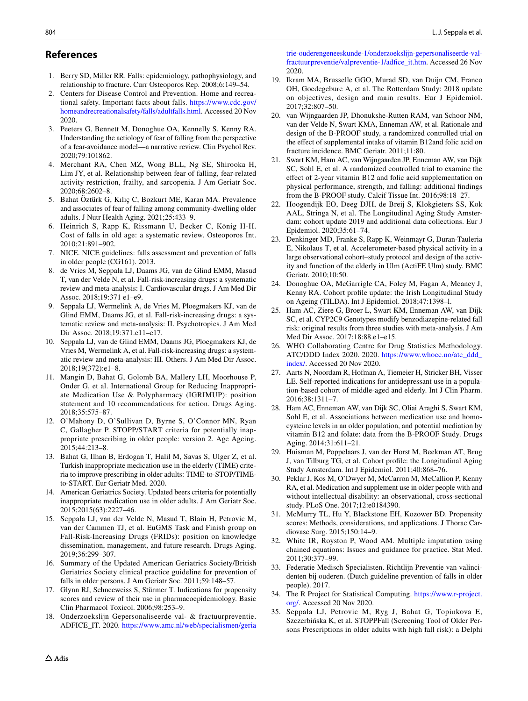## **References**

- <span id="page-7-0"></span>1. Berry SD, Miller RR. Falls: epidemiology, pathophysiology, and relationship to fracture. Curr Osteoporos Rep. 2008;6:149–54.
- <span id="page-7-1"></span>2. Centers for Disease Control and Prevention. Home and recreational safety. Important facts about falls. [https://www.cdc.gov/](https://www.cdc.gov/homeandrecreationalsafety/falls/adultfalls.html) [homeandrecreationalsafety/falls/adultfalls.html.](https://www.cdc.gov/homeandrecreationalsafety/falls/adultfalls.html) Accessed 20 Nov 2020.
- <span id="page-7-2"></span>3. Peeters G, Bennett M, Donoghue OA, Kennelly S, Kenny RA. Understanding the aetiology of fear of falling from the perspective of a fear-avoidance model—a narrative review. Clin Psychol Rev. 2020;79:101862.
- <span id="page-7-3"></span>4. Merchant RA, Chen MZ, Wong BLL, Ng SE, Shirooka H, Lim JY, et al. Relationship between fear of falling, fear-related activity restriction, frailty, and sarcopenia. J Am Geriatr Soc. 2020;68:2602–8.
- <span id="page-7-4"></span>5. Bahat Öztürk G, Kılıç C, Bozkurt ME, Karan MA. Prevalence and associates of fear of falling among community-dwelling older adults. J Nutr Health Aging. 2021;25:433–9.
- <span id="page-7-5"></span>6. Heinrich S, Rapp K, Rissmann U, Becker C, König H-H. Cost of falls in old age: a systematic review. Osteoporos Int. 2010;21:891–902.
- <span id="page-7-6"></span>7. NICE. NICE guidelines: falls assessment and prevention of falls in older people (CG161). 2013.
- <span id="page-7-7"></span>8. de Vries M, Seppala LJ, Daams JG, van de Glind EMM, Masud T, van der Velde N, et al. Fall-risk-increasing drugs: a systematic review and meta-analysis: I. Cardiovascular drugs. J Am Med Dir Assoc. 2018;19:371 e1–e9.
- <span id="page-7-9"></span>9. Seppala LJ, Wermelink A, de Vries M, Ploegmakers KJ, van de Glind EMM, Daams JG, et al. Fall-risk-increasing drugs: a systematic review and meta-analysis: II. Psychotropics. J Am Med Dir Assoc. 2018;19:371.e11–e17.
- <span id="page-7-22"></span>10. Seppala LJ, van de Glind EMM, Daams JG, Ploegmakers KJ, de Vries M, Wermelink A, et al. Fall-risk-increasing drugs: a systematic review and meta-analysis: III. Others. J Am Med Dir Assoc. 2018;19(372):e1–8.
- 11. Mangin D, Bahat G, Golomb BA, Mallery LH, Moorhouse P, Onder G, et al. International Group for Reducing Inappropriate Medication Use & Polypharmacy (IGRIMUP): position statement and 10 recommendations for action. Drugs Aging. 2018;35:575–87.
- 12. O'Mahony D, O'Sullivan D, Byrne S, O'Connor MN, Ryan C, Gallagher P. STOPP/START criteria for potentially inappropriate prescribing in older people: version 2. Age Ageing. 2015;44:213–8.
- 13. Bahat G, Ilhan B, Erdogan T, Halil M, Savas S, Ulger Z, et al. Turkish inappropriate medication use in the elderly (TIME) criteria to improve prescribing in older adults: TIME-to-STOP/TIMEto-START. Eur Geriatr Med. 2020.
- <span id="page-7-8"></span>14. American Geriatrics Society. Updated beers criteria for potentially inappropriate medication use in older adults. J Am Geriatr Soc. 2015;2015(63):2227–46.
- <span id="page-7-10"></span>15. Seppala LJ, van der Velde N, Masud T, Blain H, Petrovic M, van der Cammen TJ, et al. EuGMS Task and Finish group on Fall-Risk-Increasing Drugs (FRIDs): position on knowledge dissemination, management, and future research. Drugs Aging. 2019;36:299–307.
- <span id="page-7-11"></span>16. Summary of the Updated American Geriatrics Society/British Geriatrics Society clinical practice guideline for prevention of falls in older persons. J Am Geriatr Soc. 2011;59:148–57.
- <span id="page-7-12"></span>17. Glynn RJ, Schneeweiss S, Stürmer T. Indications for propensity scores and review of their use in pharmacoepidemiology. Basic Clin Pharmacol Toxicol. 2006;98:253–9.
- <span id="page-7-13"></span>18. Onderzoekslijn Gepersonaliseerde val- & fractuurpreventie. ADFICE\_IT. 2020. [https://www.amc.nl/web/specialismen/geria](https://www.amc.nl/web/specialismen/geriatrie-ouderengeneeskunde-1/onderzoekslijn-gepersonaliseerde-val-fractuurpreventie/valpreventie-1/adfice_it.htm)

[trie-ouderengeneeskunde-1/onderzoekslijn-gepersonaliseerde-val](https://www.amc.nl/web/specialismen/geriatrie-ouderengeneeskunde-1/onderzoekslijn-gepersonaliseerde-val-fractuurpreventie/valpreventie-1/adfice_it.htm)[fractuurpreventie/valpreventie-1/adfce\\_it.htm.](https://www.amc.nl/web/specialismen/geriatrie-ouderengeneeskunde-1/onderzoekslijn-gepersonaliseerde-val-fractuurpreventie/valpreventie-1/adfice_it.htm) Accessed 26 Nov 2020.

- <span id="page-7-14"></span>19. Ikram MA, Brusselle GGO, Murad SD, van Duijn CM, Franco OH, Goedegebure A, et al. The Rotterdam Study: 2018 update on objectives, design and main results. Eur J Epidemiol. 2017;32:807–50.
- <span id="page-7-15"></span>20. van Wijngaarden JP, Dhonukshe-Rutten RAM, van Schoor NM, van der Velde N, Swart KMA, Enneman AW, et al. Rationale and design of the B-PROOF study, a randomized controlled trial on the efect of supplemental intake of vitamin B12and folic acid on fracture incidence. BMC Geriatr. 2011;11:80.
- <span id="page-7-16"></span>21. Swart KM, Ham AC, van Wijngaarden JP, Enneman AW, van Dijk SC, Sohl E, et al. A randomized controlled trial to examine the efect of 2-year vitamin B12 and folic acid supplementation on physical performance, strength, and falling: additional fndings from the B-PROOF study. Calcif Tissue Int. 2016;98:18–27.
- <span id="page-7-17"></span>22. Hoogendijk EO, Deeg DJH, de Breij S, Klokgieters SS, Kok AAL, Stringa N, et al. The Longitudinal Aging Study Amsterdam: cohort update 2019 and additional data collections. Eur J Epidemiol. 2020;35:61–74.
- <span id="page-7-18"></span>23. Denkinger MD, Franke S, Rapp K, Weinmayr G, Duran-Tauleria E, Nikolaus T, et al. Accelerometer-based physical activity in a large observational cohort–study protocol and design of the activity and function of the elderly in Ulm (ActiFE Ulm) study. BMC Geriatr. 2010;10:50.
- <span id="page-7-19"></span>24. Donoghue OA, McGarrigle CA, Foley M, Fagan A, Meaney J, Kenny RA. Cohort profle update: the Irish Longitudinal Study on Ageing (TILDA). Int J Epidemiol. 2018;47:1398–l.
- <span id="page-7-20"></span>25. Ham AC, Ziere G, Broer L, Swart KM, Enneman AW, van Dijk SC, et al. CYP2C9 Genotypes modify benzodiazepine-related fall risk: original results from three studies with meta-analysis. J Am Med Dir Assoc. 2017;18:88.e1–e15.
- <span id="page-7-21"></span>26. WHO Collaborating Centre for Drug Statistics Methodology. ATC/DDD Index 2020. 2020. [https://www.whocc.no/atc\\_ddd\\_](https://www.whocc.no/atc_ddd_index/) [index/](https://www.whocc.no/atc_ddd_index/). Accessed 20 Nov 2020.
- <span id="page-7-23"></span>27. Aarts N, Noordam R, Hofman A, Tiemeier H, Stricker BH, Visser LE. Self-reported indications for antidepressant use in a population-based cohort of middle-aged and elderly. Int J Clin Pharm. 2016;38:1311–7.
- <span id="page-7-24"></span>28. Ham AC, Enneman AW, van Dijk SC, Oliai Araghi S, Swart KM, Sohl E, et al. Associations between medication use and homocysteine levels in an older population, and potential mediation by vitamin B12 and folate: data from the B-PROOF Study. Drugs Aging. 2014;31:611–21.
- <span id="page-7-25"></span>29. Huisman M, Poppelaars J, van der Horst M, Beekman AT, Brug J, van Tilburg TG, et al. Cohort profle: the Longitudinal Aging Study Amsterdam. Int J Epidemiol. 2011;40:868–76.
- <span id="page-7-26"></span>30. Peklar J, Kos M, O'Dwyer M, McCarron M, McCallion P, Kenny RA, et al. Medication and supplement use in older people with and without intellectual disability: an observational, cross-sectional study. PLoS One. 2017;12:e0184390.
- <span id="page-7-27"></span>31. McMurry TL, Hu Y, Blackstone EH, Kozower BD. Propensity scores: Methods, considerations, and applications. J Thorac Cardiovasc Surg. 2015;150:14–9.
- <span id="page-7-28"></span>32. White IR, Royston P, Wood AM. Multiple imputation using chained equations: Issues and guidance for practice. Stat Med. 2011;30:377–99.
- <span id="page-7-29"></span>33. Federatie Medisch Specialisten. Richtlijn Preventie van valincidenten bij ouderen. (Dutch guideline prevention of falls in older people). 2017.
- <span id="page-7-30"></span>34. The R Project for Statistical Computing. [https://www.r-project.](https://www.r-project.org/) [org/.](https://www.r-project.org/) Accessed 20 Nov 2020.
- <span id="page-7-31"></span>35. Seppala LJ, Petrovic M, Ryg J, Bahat G, Topinkova E, Szczerbińska K, et al. STOPPFall (Screening Tool of Older Persons Prescriptions in older adults with high fall risk): a Delphi